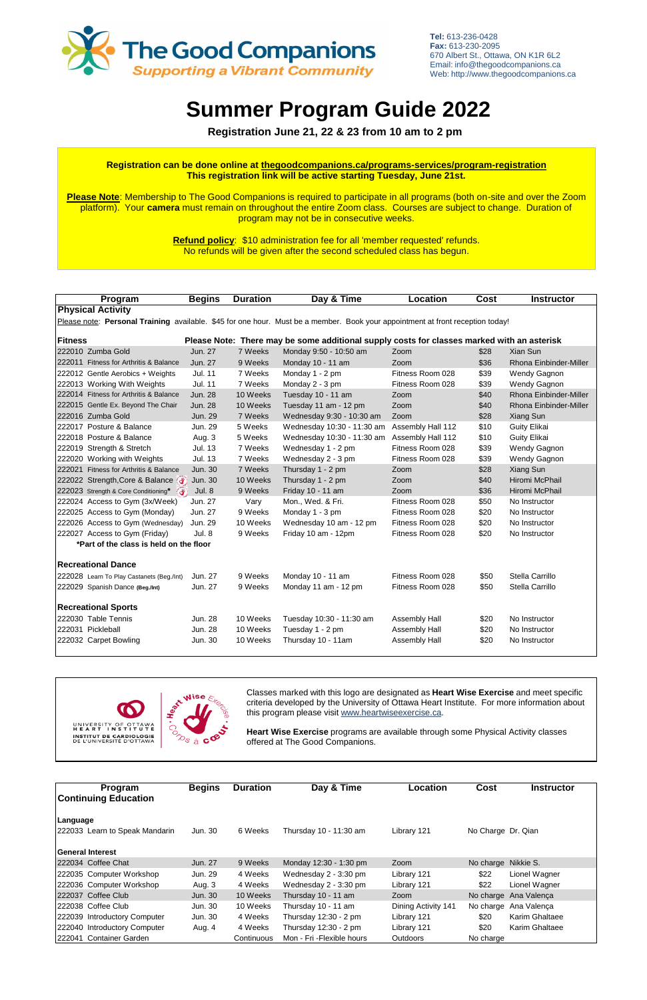| Program                                                                                                                        | <b>Begins</b>  | <b>Duration</b> | Day & Time                 | <b>Location</b>   | <b>Cost</b> | <b>Instructor</b>      |  |  |
|--------------------------------------------------------------------------------------------------------------------------------|----------------|-----------------|----------------------------|-------------------|-------------|------------------------|--|--|
| <b>Physical Activity</b>                                                                                                       |                |                 |                            |                   |             |                        |  |  |
| Please note: Personal Training available. \$45 for one hour. Must be a member. Book your appointment at front reception today! |                |                 |                            |                   |             |                        |  |  |
| <b>Fitness</b><br>Please Note: There may be some additional supply costs for classes marked with an asterisk                   |                |                 |                            |                   |             |                        |  |  |
| 222010 Zumba Gold                                                                                                              | Jun. 27        | 7 Weeks         | Monday 9:50 - 10:50 am     | Zoom              | \$28        | Xian Sun               |  |  |
| 222011 Fitness for Arthritis & Balance                                                                                         | Jun. 27        | 9 Weeks         | Monday 10 - 11 am          | Zoom              | \$36        | Rhona Einbinder-Miller |  |  |
| 222012 Gentle Aerobics + Weights                                                                                               | <b>Jul. 11</b> | 7 Weeks         | Monday 1 - 2 pm            | Fitness Room 028  | \$39        | Wendy Gagnon           |  |  |
| 222013 Working With Weights                                                                                                    | <b>Jul. 11</b> | 7 Weeks         | Monday 2 - 3 pm            | Fitness Room 028  | \$39        | Wendy Gagnon           |  |  |
| 222014 Fitness for Arthritis & Balance                                                                                         | <b>Jun. 28</b> | 10 Weeks        | Tuesday 10 - 11 am         | Zoom              | \$40        | Rhona Einbinder-Miller |  |  |
| 222015 Gentle Ex. Beyond The Chair                                                                                             | <b>Jun. 28</b> | 10 Weeks        | Tuesday 11 am - 12 pm      | Zoom              | \$40        | Rhona Einbinder-Miller |  |  |
| 222016 Zumba Gold                                                                                                              | Jun. 29        | 7 Weeks         | Wednesday 9:30 - 10:30 am  | Zoom              | \$28        | Xiang Sun              |  |  |
| 222017 Posture & Balance                                                                                                       | Jun. 29        | 5 Weeks         | Wednesday 10:30 - 11:30 am | Assembly Hall 112 | \$10        | <b>Guity Elikai</b>    |  |  |
| 222018 Posture & Balance                                                                                                       | Aug. 3         | 5 Weeks         | Wednesday 10:30 - 11:30 am | Assembly Hall 112 | \$10        | Guity Elikai           |  |  |
| 222019 Strength & Stretch                                                                                                      | <b>Jul. 13</b> | 7 Weeks         | Wednesday 1 - 2 pm         | Fitness Room 028  | \$39        | Wendy Gagnon           |  |  |
| 222020 Working with Weights                                                                                                    | Jul. 13        | 7 Weeks         | Wednesday 2 - 3 pm         | Fitness Room 028  | \$39        | <b>Wendy Gagnon</b>    |  |  |
| 222021 Fitness for Arthritis & Balance                                                                                         | <b>Jun. 30</b> | 7 Weeks         | Thursday 1 - 2 pm          | Zoom              | \$28        | Xiang Sun              |  |  |
| 222022 Strength, Core & Balance                                                                                                | Jun. 30        | 10 Weeks        | Thursday 1 - 2 pm          | Zoom              | \$40        | Hiromi McPhail         |  |  |
| 222023 Strength & Core Conditioning*                                                                                           | <b>Jul. 8</b>  | 9 Weeks         | Friday 10 - 11 am          | Zoom              | \$36        | Hiromi McPhail         |  |  |
| 222024 Access to Gym (3x/Week)                                                                                                 | Jun. 27        | Vary            | Mon., Wed. & Fri.          | Fitness Room 028  | \$50        | No Instructor          |  |  |
| 222025 Access to Gym (Monday)                                                                                                  | Jun. 27        | 9 Weeks         | Monday 1 - 3 pm            | Fitness Room 028  | \$20        | No Instructor          |  |  |
| 222026 Access to Gym (Wednesday)                                                                                               | Jun. 29        | 10 Weeks        | Wednesday 10 am - 12 pm    | Fitness Room 028  | \$20        | No Instructor          |  |  |
| 222027 Access to Gym (Friday)                                                                                                  | Jul. 8         | 9 Weeks         | Friday 10 am - 12pm        | Fitness Room 028  | \$20        | No Instructor          |  |  |
| *Part of the class is held on the floor                                                                                        |                |                 |                            |                   |             |                        |  |  |
| <b>Recreational Dance</b>                                                                                                      |                |                 |                            |                   |             |                        |  |  |
| 222028 Learn To Play Castanets (Beg./Int)                                                                                      | Jun. 27        | 9 Weeks         | Monday 10 - 11 am          | Fitness Room 028  | \$50        | Stella Carrillo        |  |  |
| 222029 Spanish Dance (Beg./Int)                                                                                                | Jun. 27        | 9 Weeks         | Monday 11 am - 12 pm       | Fitness Room 028  | \$50        | Stella Carrillo        |  |  |
| <b>Recreational Sports</b>                                                                                                     |                |                 |                            |                   |             |                        |  |  |
| 222030 Table Tennis                                                                                                            | Jun. 28        | 10 Weeks        | Tuesday 10:30 - 11:30 am   | Assembly Hall     | \$20        | No Instructor          |  |  |
| 222031 Pickleball                                                                                                              | <b>Jun. 28</b> | 10 Weeks        | Tuesday 1 - 2 pm           | Assembly Hall     | \$20        | No Instructor          |  |  |
| 222032 Carpet Bowling                                                                                                          | Jun. 30        | 10 Weeks        | Thursday 10 - 11am         | Assembly Hall     | \$20        | No Instructor          |  |  |



| Program                        | <b>Begins</b> | <b>Duration</b> | Day & Time                 | Location            | Cost               | <b>Instructor</b>     |
|--------------------------------|---------------|-----------------|----------------------------|---------------------|--------------------|-----------------------|
| <b>Continuing Education</b>    |               |                 |                            |                     |                    |                       |
| Language                       |               |                 |                            |                     |                    |                       |
| 222033 Learn to Speak Mandarin | Jun. 30       | 6 Weeks         | Thursday 10 - 11:30 am     | Library 121         | No Charge Dr. Qian |                       |
|                                |               |                 |                            |                     |                    |                       |
| <b>General Interest</b>        |               |                 |                            |                     |                    |                       |
| 222034 Coffee Chat             | Jun. 27       | 9 Weeks         | Monday 12:30 - 1:30 pm     | Zoom                | No charge          | Nikkie S.             |
| 222035 Computer Workshop       | Jun. 29       | 4 Weeks         | Wednesday 2 - 3:30 pm      | Library 121         | \$22               | Lionel Wagner         |
| 222036 Computer Workshop       | Aug. 3        | 4 Weeks         | Wednesday 2 - 3:30 pm      | Library 121         | \$22               | Lionel Wagner         |
| 222037 Coffee Club             | Jun. 30       | 10 Weeks        | Thursday 10 - 11 am        | Zoom                |                    | No charge Ana Valença |
| 222038 Coffee Club             | Jun. 30       | 10 Weeks        | Thursday 10 - 11 am        | Dining Activity 141 | No charge          | Ana Valenca           |
| 222039 Introductory Computer   | Jun. 30       | 4 Weeks         | Thursday 12:30 - 2 pm      | Library 121         | \$20               | Karim Ghaltaee        |
| 222040 Introductory Computer   | Aug. 4        | 4 Weeks         | Thursday 12:30 - 2 pm      | Library 121         | \$20               | Karim Ghaltaee        |
| 222041 Container Garden        |               | Continuous      | Mon - Fri - Flexible hours | <b>Outdoors</b>     | No charge          |                       |

# **Summer Program Guide 2022**

 **Registration June 21, 22 & 23 from 10 am to 2 pm**

Classes marked with this logo are designated as **Heart Wise Exercise** and meet specific criteria developed by the University of Ottawa Heart Institute. For more information about this program please visit www.heartwiseexercise.ca.

**Heart Wise Exercise** programs are available through some Physical Activity classes



**Tel:** 613-236-0428 **Fax:** 613-230-2095 670 Albert St., Ottawa, ON K1R 6L2 Email: info@thegoodcompanions.ca Web: http://www.thegoodcompanions.ca

### **Registration can be done online at thegoodcompanions.ca/programs-services/program-registration This registration link will be active starting Tuesday, June 21st.**

**Please Note**: Membership to The Good Companions is required to participate in all programs (both on-site and over the Zoom platform). Your **camera** must remain on throughout the entire Zoom class. Courses are subject to change. Duration of program may not be in consecutive weeks.

> **Refund policy**: \$10 administration fee for all 'member requested' refunds. No refunds will be given after the second scheduled class has begun.